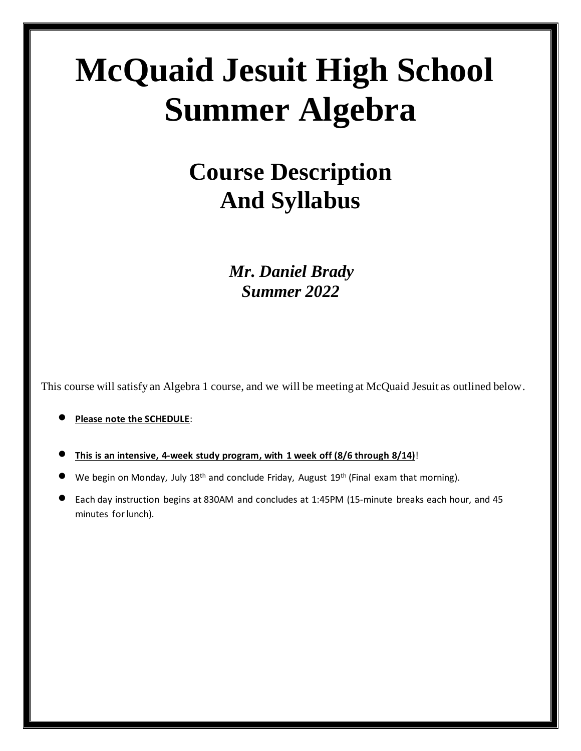# **McQuaid Jesuit High School Summer Algebra**

# **Course Description And Syllabus**

 *Mr. Daniel Brady Summer 2022*

This course will satisfy an Algebra 1 course, and we will be meeting at McQuaid Jesuit as outlined below.

#### • **Please note the SCHEDULE**:

- **This is an intensive, 4-week study program, with 1 week off (8/6 through 8/14)**!
- We begin on Monday, July 18<sup>th</sup> and conclude Friday, August 19<sup>th</sup> (Final exam that morning).
- Each day instruction begins at 830AM and concludes at 1:45PM (15-minute breaks each hour, and 45 minutes for lunch).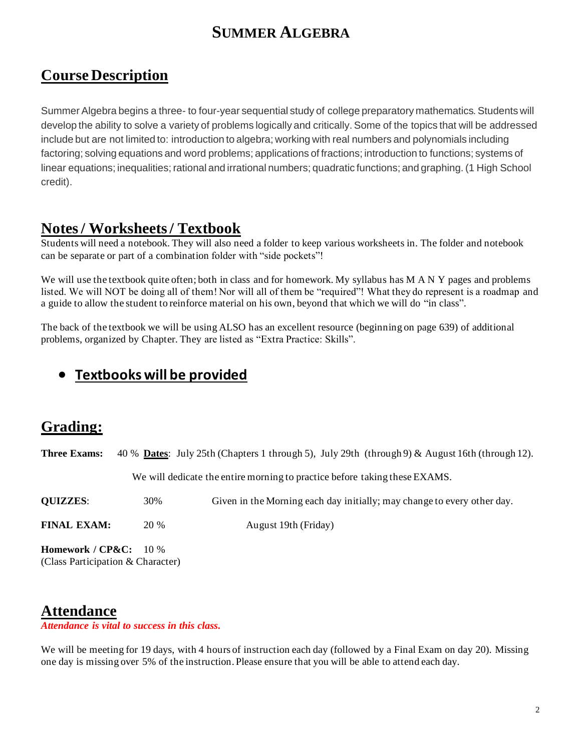# **SUMMER ALGEBRA**

#### **Course Description**

Summer Algebra begins a three- to four-year sequential study of college preparatory mathematics. Students will develop the ability to solve a variety of problems logically and critically. Some of the topics that will be addressed include but are not limited to: introduction to algebra; working with real numbers and polynomials including factoring; solving equations and word problems; applications of fractions; introduction to functions; systems of linear equations; inequalities; rational and irrational numbers; quadratic functions; and graphing. (1 High School credit).

#### **Notes/ Worksheets / Textbook**

Students will need a notebook. They will also need a folder to keep various worksheets in. The folder and notebook can be separate or part of a combination folder with "side pockets"!

We will use the textbook quite often; both in class and for homework. My syllabus has M A N Y pages and problems listed. We will NOT be doing all of them! Nor will all of them be "required"! What they do represent is a roadmap and a guide to allow the student to reinforce material on his own, beyond that which we will do "in class".

The back of the textbook we will be using ALSO has an excellent resource (beginning on page 639) of additional problems, organized by Chapter. They are listed as "Extra Practice: Skills".

#### • **Textbooks will be provided**

#### **Grading:**

**Three Exams:** 40 % **Dates**: July 25th (Chapters 1 through 5), July 29th (through 9) & August 16th (through 12).

We will dedicate the entire morning to practice before taking these EXAMS.

**QUIZZES**: 30% Given in the Morning each day initially; may change to every other day.

**FINAL EXAM:** 20 % August 19th (Friday)

**Homework / CP&C:** 10 % (Class Participation & Character)

#### **Attendance**

*Attendance is vital to success in this class.*

We will be meeting for 19 days, with 4 hours of instruction each day (followed by a Final Exam on day 20). Missing one day is missing over 5% of the instruction. Please ensure that you will be able to attend each day.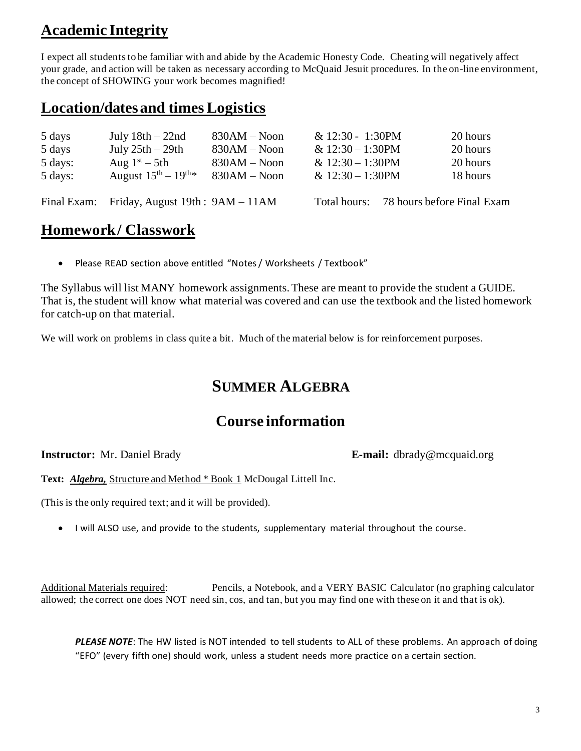# **Academic Integrity**

I expect all students to be familiar with and abide by the Academic Honesty Code. Cheating will negatively affect your grade, and action will be taken as necessary according to McQuaid Jesuit procedures. In the on-line environment, the concept of SHOWING your work becomes magnified!

## **Location/dates and times Logistics**

| 5 days  | July $18th - 22nd$                           | $830AM - Noon$ | $& 12:30 - 1:30$ PM | 20 hours                   |
|---------|----------------------------------------------|----------------|---------------------|----------------------------|
| 5 days  | July $25th - 29th$                           | $830AM - Noon$ | & $12:30 - 1:30$ PM | 20 hours                   |
| 5 days: | Aug $1st - 5th$                              | $830AM - Noon$ | & $12:30 - 1:30$ PM | 20 hours                   |
| 5 days: | August $15^{\text{th}} - 19^{\text{th} *}$   | $830AM - Noon$ | & $12:30 - 1:30$ PM | 18 hours                   |
|         |                                              |                |                     |                            |
|         | Final Exam: Friday, August 19th : 9AM - 11AM |                | Total hours:        | 78 hours before Final Exam |

# **Homework / Classwork**

• Please READ section above entitled "Notes / Worksheets / Textbook"

The Syllabus will list MANY homework assignments. These are meant to provide the student a GUIDE. That is, the student will know what material was covered and can use the textbook and the listed homework for catch-up on that material.

We will work on problems in class quite a bit. Much of the material below is for reinforcement purposes.

## **SUMMER ALGEBRA**

#### **Course information**

**Instructor:** Mr. Daniel Brady **E-mail:** dbrady@mcquaid.org

**Text:** *Algebra,* Structure and Method \* Book 1 McDougal Littell Inc.

(This is the only required text; and it will be provided).

• I will ALSO use, and provide to the students, supplementary material throughout the course.

Additional Materials required: Pencils, a Notebook, and a VERY BASIC Calculator (no graphing calculator allowed; the correct one does NOT need sin, cos, and tan, but you may find one with these on it and that is ok).

PLEASE NOTE: The HW listed is NOT intended to tell students to ALL of these problems. An approach of doing "EFO" (every fifth one) should work, unless a student needs more practice on a certain section.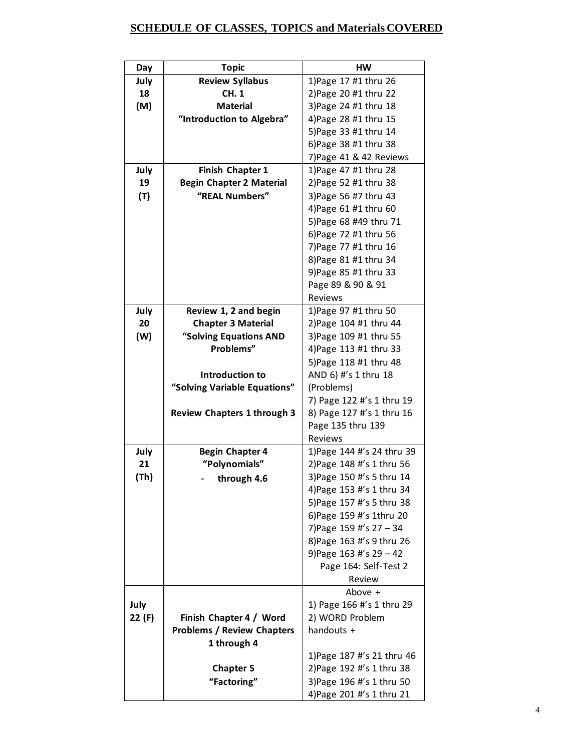#### **SCHEDULE OF CLASSES, TOPICS and Materials COVERED**

| Day    | <b>Topic</b>                       | HW                          |
|--------|------------------------------------|-----------------------------|
| July   | <b>Review Syllabus</b>             | 1) Page 17 #1 thru 26       |
| 18     | CH. 1                              | 2) Page 20 #1 thru 22       |
| (M)    | <b>Material</b>                    | 3) Page 24 #1 thru 18       |
|        | "Introduction to Algebra"          | 4) Page 28 #1 thru 15       |
|        |                                    | 5) Page 33 #1 thru 14       |
|        |                                    | 6) Page 38 #1 thru 38       |
|        |                                    | 7) Page 41 & 42 Reviews     |
| July   | Finish Chapter 1                   | 1) Page 47 #1 thru 28       |
| 19     | <b>Begin Chapter 2 Material</b>    | 2) Page 52 #1 thru 38       |
| (T)    | "REAL Numbers"                     | 3) Page 56 #7 thru 43       |
|        |                                    | 4) Page 61 #1 thru 60       |
|        |                                    | 5) Page 68 #49 thru 71      |
|        |                                    | 6) Page 72 #1 thru 56       |
|        |                                    | 7) Page 77 #1 thru 16       |
|        |                                    | 8) Page 81 #1 thru 34       |
|        |                                    | 9) Page 85 #1 thru 33       |
|        |                                    | Page 89 & 90 & 91           |
|        |                                    | <b>Reviews</b>              |
| July   | Review 1, 2 and begin              | 1) Page 97 #1 thru 50       |
| 20     | <b>Chapter 3 Material</b>          | 2) Page 104 #1 thru 44      |
| (W)    | "Solving Equations AND             | 3) Page 109 #1 thru 55      |
|        | Problems"                          | 4) Page 113 #1 thru 33      |
|        |                                    | 5) Page 118 #1 thru 48      |
|        | Introduction to                    | AND 6) #'s 1 thru 18        |
|        | "Solving Variable Equations"       | (Problems)                  |
|        |                                    | 7) Page 122 #'s 1 thru 19   |
|        | <b>Review Chapters 1 through 3</b> | 8) Page 127 #'s 1 thru 16   |
|        |                                    | Page 135 thru 139           |
|        |                                    | <b>Reviews</b>              |
| July   | <b>Begin Chapter 4</b>             | 1) Page 144 #'s 24 thru 39  |
| 21     | "Polynomials"                      | 2) Page 148 #'s 1 thru 56   |
| (Th)   | through 4.6                        | 3) Page 150 #'s 5 thru 14   |
|        |                                    | 4) Page 153 #'s 1 thru 34   |
|        |                                    | 5) Page 157 #'s 5 thru 38   |
|        |                                    | 6) Page 159 #'s 1thru 20    |
|        |                                    | 7) Page 159 #'s $27 - 34$   |
|        |                                    | 8) Page 163 #'s 9 thru 26   |
|        |                                    | 9) Page $163$ #'s $29 - 42$ |
|        |                                    | Page 164: Self-Test 2       |
|        |                                    | Review                      |
|        |                                    | Above +                     |
| July   |                                    | 1) Page 166 #'s 1 thru 29   |
| 22 (F) | Finish Chapter 4 / Word            | 2) WORD Problem             |
|        | <b>Problems / Review Chapters</b>  | handouts +                  |
|        | 1 through 4                        |                             |
|        |                                    | 1) Page 187 #'s 21 thru 46  |
|        | <b>Chapter 5</b>                   | 2) Page 192 #'s 1 thru 38   |
|        | "Factoring"                        | 3) Page 196 #'s 1 thru 50   |
|        |                                    | 4) Page 201 #'s 1 thru 21   |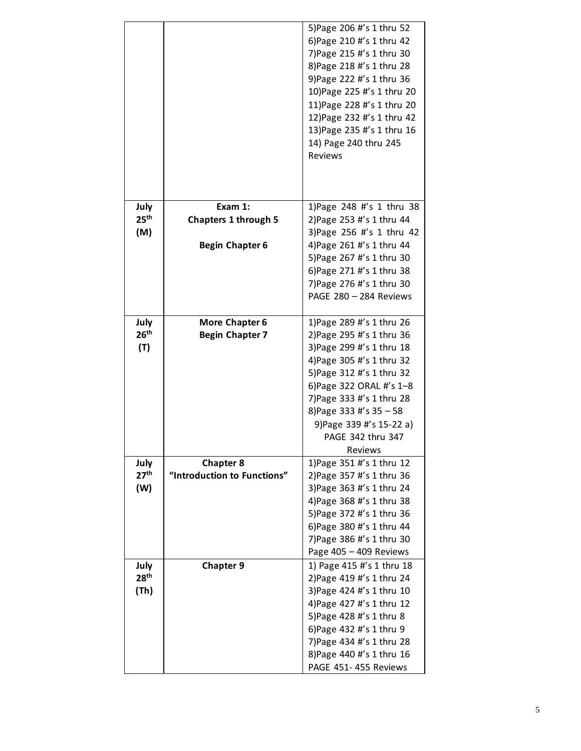|                  |                             | 5) Page 206 #'s 1 thru 52<br>6) Page 210 #'s 1 thru 42<br>7) Page 215 #'s 1 thru 30<br>8) Page 218 #'s 1 thru 28<br>9) Page 222 #'s 1 thru 36<br>10) Page 225 #'s 1 thru 20<br>11) Page 228 #'s 1 thru 20<br>12) Page 232 #'s 1 thru 42<br>13) Page 235 #'s 1 thru 16<br>14) Page 240 thru 245<br><b>Reviews</b> |
|------------------|-----------------------------|------------------------------------------------------------------------------------------------------------------------------------------------------------------------------------------------------------------------------------------------------------------------------------------------------------------|
| July             | Exam 1:                     | 1) Page 248 #'s 1 thru 38                                                                                                                                                                                                                                                                                        |
| 25 <sup>th</sup> | <b>Chapters 1 through 5</b> | 2) Page 253 #'s 1 thru 44                                                                                                                                                                                                                                                                                        |
| (M)              |                             | 3) Page 256 #'s 1 thru 42                                                                                                                                                                                                                                                                                        |
|                  | <b>Begin Chapter 6</b>      | 4) Page 261 #'s 1 thru 44                                                                                                                                                                                                                                                                                        |
|                  |                             | 5) Page 267 #'s 1 thru 30                                                                                                                                                                                                                                                                                        |
|                  |                             | 6) Page 271 #'s 1 thru 38<br>7) Page 276 #'s 1 thru 30                                                                                                                                                                                                                                                           |
|                  |                             | PAGE 280 - 284 Reviews                                                                                                                                                                                                                                                                                           |
|                  |                             |                                                                                                                                                                                                                                                                                                                  |
| July             | <b>More Chapter 6</b>       | 1) Page 289 #'s 1 thru 26                                                                                                                                                                                                                                                                                        |
| 26 <sup>th</sup> | <b>Begin Chapter 7</b>      | 2) Page 295 #'s 1 thru 36                                                                                                                                                                                                                                                                                        |
| (T)              |                             | 3) Page 299 #'s 1 thru 18                                                                                                                                                                                                                                                                                        |
|                  |                             | 4) Page 305 #'s 1 thru 32                                                                                                                                                                                                                                                                                        |
|                  |                             | 5) Page 312 #'s 1 thru 32                                                                                                                                                                                                                                                                                        |
|                  |                             | 6) Page 322 ORAL #'s 1-8                                                                                                                                                                                                                                                                                         |
|                  |                             | 7) Page 333 #'s 1 thru 28                                                                                                                                                                                                                                                                                        |
|                  |                             | 8) Page 333 #'s 35 - 58                                                                                                                                                                                                                                                                                          |
|                  |                             | 9) Page 339 #'s 15-22 a)                                                                                                                                                                                                                                                                                         |
|                  |                             | PAGE 342 thru 347                                                                                                                                                                                                                                                                                                |
| July             | <b>Chapter 8</b>            | Reviews<br>1) Page 351 #'s 1 thru 12                                                                                                                                                                                                                                                                             |
| 27 <sup>th</sup> | "Introduction to Functions" | 2) Page 357 #'s 1 thru 36                                                                                                                                                                                                                                                                                        |
| (W)              |                             | 3) Page 363 #'s 1 thru 24                                                                                                                                                                                                                                                                                        |
|                  |                             | 4) Page 368 #'s 1 thru 38                                                                                                                                                                                                                                                                                        |
|                  |                             | 5) Page 372 #'s 1 thru 36                                                                                                                                                                                                                                                                                        |
|                  |                             | 6) Page 380 #'s 1 thru 44                                                                                                                                                                                                                                                                                        |
|                  |                             | 7) Page 386 #'s 1 thru 30                                                                                                                                                                                                                                                                                        |
|                  |                             | Page 405 - 409 Reviews                                                                                                                                                                                                                                                                                           |
| July             | <b>Chapter 9</b>            | 1) Page 415 #'s 1 thru 18                                                                                                                                                                                                                                                                                        |
| 28 <sup>th</sup> |                             | 2) Page 419 #'s 1 thru 24                                                                                                                                                                                                                                                                                        |
| (Th)             |                             | 3) Page 424 #'s 1 thru 10                                                                                                                                                                                                                                                                                        |
|                  |                             | 4) Page 427 #'s 1 thru 12                                                                                                                                                                                                                                                                                        |
|                  |                             | 5) Page 428 #'s 1 thru 8                                                                                                                                                                                                                                                                                         |
|                  |                             | 6) Page 432 #'s 1 thru 9                                                                                                                                                                                                                                                                                         |
|                  |                             | 7) Page 434 #'s 1 thru 28<br>8) Page 440 #'s 1 thru 16                                                                                                                                                                                                                                                           |
|                  |                             | PAGE 451-455 Reviews                                                                                                                                                                                                                                                                                             |
|                  |                             |                                                                                                                                                                                                                                                                                                                  |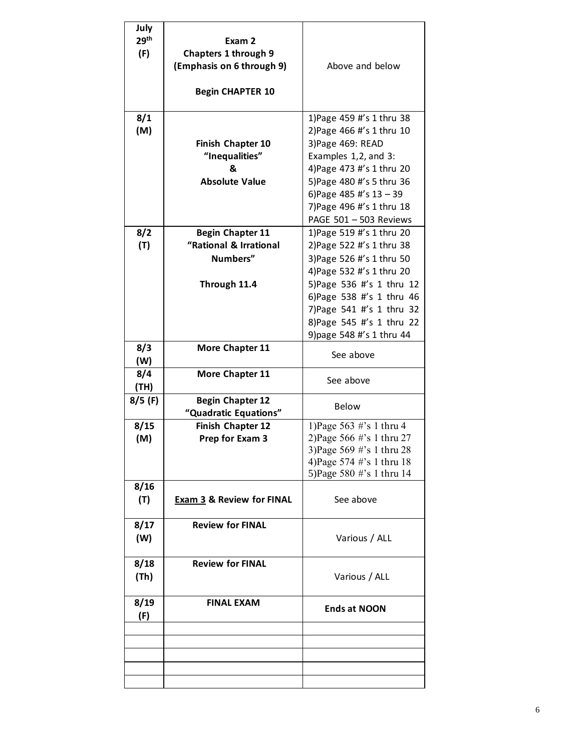| July             |                                      |                                                        |
|------------------|--------------------------------------|--------------------------------------------------------|
| 29 <sup>th</sup> | Exam 2                               |                                                        |
| (F)              | <b>Chapters 1 through 9</b>          |                                                        |
|                  | (Emphasis on 6 through 9)            | Above and below                                        |
|                  |                                      |                                                        |
|                  |                                      |                                                        |
|                  | <b>Begin CHAPTER 10</b>              |                                                        |
| 8/1              |                                      | 1) Page 459 #'s 1 thru 38                              |
| (M)              |                                      | 2) Page 466 #'s 1 thru 10                              |
|                  | <b>Finish Chapter 10</b>             | 3) Page 469: READ                                      |
|                  | "Inequalities"                       | Examples 1,2, and 3:                                   |
|                  | &                                    | 4) Page 473 #'s 1 thru 20                              |
|                  | <b>Absolute Value</b>                | 5) Page 480 #'s 5 thru 36                              |
|                  |                                      |                                                        |
|                  |                                      | 6) Page 485 #'s $13 - 39$                              |
|                  |                                      | 7) Page 496 #'s 1 thru 18                              |
|                  |                                      | PAGE 501 - 503 Reviews                                 |
| 8/2              | <b>Begin Chapter 11</b>              | 1) Page 519 #'s 1 thru 20                              |
| (T)              | "Rational & Irrational               | 2) Page 522 #'s 1 thru 38                              |
|                  | Numbers"                             | 3) Page 526 #'s 1 thru 50                              |
|                  |                                      | 4) Page 532 #'s 1 thru 20                              |
|                  | Through 11.4                         | 5) Page 536 #'s 1 thru 12                              |
|                  |                                      | 6) Page 538 #'s 1 thru 46                              |
|                  |                                      | 7) Page 541 #'s 1 thru 32                              |
|                  |                                      | 8) Page 545 #'s 1 thru 22                              |
|                  |                                      | 9) page 548 #'s 1 thru 44                              |
| 8/3              | More Chapter 11                      | See above                                              |
| (W)              |                                      |                                                        |
| 8/4              | More Chapter 11                      | See above                                              |
| (TH)             |                                      |                                                        |
| $8/5$ (F)        | <b>Begin Chapter 12</b>              | <b>Below</b>                                           |
|                  | "Quadratic Equations"                |                                                        |
| 8/15             | Finish Chapter 12                    | 1) Page 563 #'s 1 thru 4                               |
| (M)              | Prep for Exam 3                      | 2) Page 566 #'s 1 thru 27                              |
|                  |                                      | 3) Page 569 #'s 1 thru 28<br>4) Page 574 #'s 1 thru 18 |
|                  |                                      | 5) Page 580 #'s 1 thru 14                              |
| 8/16             |                                      |                                                        |
| (T)              | <b>Exam 3 &amp; Review for FINAL</b> | See above                                              |
|                  |                                      |                                                        |
| 8/17             | <b>Review for FINAL</b>              |                                                        |
| (W)              |                                      | Various / ALL                                          |
|                  |                                      |                                                        |
| 8/18             | <b>Review for FINAL</b>              |                                                        |
| (Th)             |                                      | Various / ALL                                          |
|                  |                                      |                                                        |
| 8/19             | <b>FINAL EXAM</b>                    |                                                        |
| (F)              |                                      | <b>Ends at NOON</b>                                    |
|                  |                                      |                                                        |
|                  |                                      |                                                        |
|                  |                                      |                                                        |
|                  |                                      |                                                        |
|                  |                                      |                                                        |